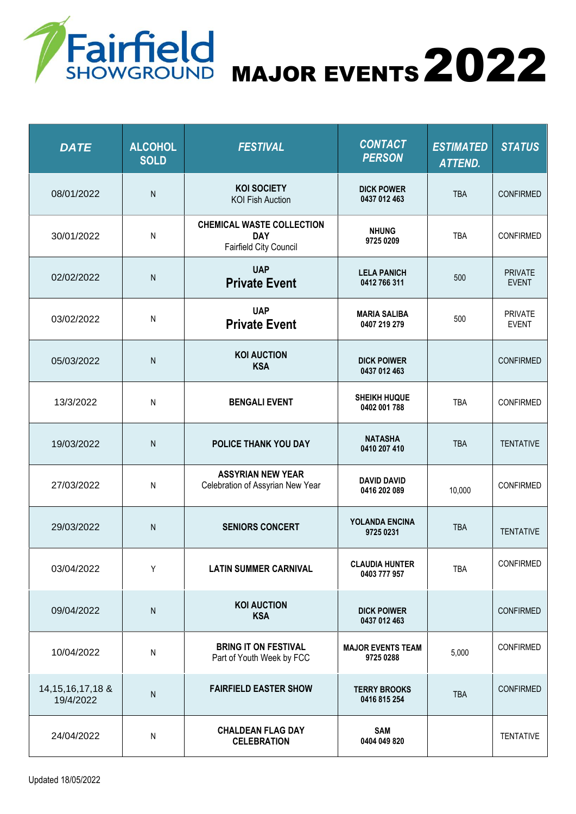

Fairfield<br>SHOWGROUND MAJOR EVENTS 2022

| <b>DATE</b>                       | <b>ALCOHOL</b><br><b>SOLD</b> | <b>FESTIVAL</b>                                                          | <b>CONTACT</b><br><b>PERSON</b>       | <b>ESTIMATED</b><br><b>ATTEND.</b> | <b>STATUS</b>                  |
|-----------------------------------|-------------------------------|--------------------------------------------------------------------------|---------------------------------------|------------------------------------|--------------------------------|
| 08/01/2022                        | N                             | <b>KOI SOCIETY</b><br><b>KOI Fish Auction</b>                            | <b>DICK POWER</b><br>0437 012 463     | <b>TBA</b>                         | <b>CONFIRMED</b>               |
| 30/01/2022                        | N                             | <b>CHEMICAL WASTE COLLECTION</b><br><b>DAY</b><br>Fairfield City Council | <b>NHUNG</b><br>9725 0209             | <b>TBA</b>                         | <b>CONFIRMED</b>               |
| 02/02/2022                        | $\mathsf{N}$                  | <b>UAP</b><br><b>Private Event</b>                                       | <b>LELA PANICH</b><br>0412 766 311    | 500                                | <b>PRIVATE</b><br><b>EVENT</b> |
| 03/02/2022                        | Ν                             | <b>UAP</b><br><b>Private Event</b>                                       | <b>MARIA SALIBA</b><br>0407 219 279   | 500                                | <b>PRIVATE</b><br><b>EVENT</b> |
| 05/03/2022                        | N                             | <b>KOI AUCTION</b><br><b>KSA</b>                                         | <b>DICK POIWER</b><br>0437 012 463    |                                    | <b>CONFIRMED</b>               |
| 13/3/2022                         | ${\sf N}$                     | <b>BENGALI EVENT</b>                                                     | <b>SHEIKH HUQUE</b><br>0402 001 788   | <b>TBA</b>                         | <b>CONFIRMED</b>               |
| 19/03/2022                        | ${\sf N}$                     | POLICE THANK YOU DAY                                                     | <b>NATASHA</b><br>0410 207 410        | <b>TBA</b>                         | <b>TENTATIVE</b>               |
| 27/03/2022                        | ${\sf N}$                     | <b>ASSYRIAN NEW YEAR</b><br>Celebration of Assyrian New Year             | <b>DAVID DAVID</b><br>0416 202 089    | 10,000                             | <b>CONFIRMED</b>               |
| 29/03/2022                        | ${\sf N}$                     | <b>SENIORS CONCERT</b>                                                   | YOLANDA ENCINA<br>9725 0231           | <b>TBA</b>                         | <b>TENTATIVE</b>               |
| 03/04/2022                        | Υ                             | <b>LATIN SUMMER CARNIVAL</b>                                             | <b>CLAUDIA HUNTER</b><br>0403 777 957 | <b>TBA</b>                         | <b>CONFIRMED</b>               |
| 09/04/2022                        | ${\sf N}$                     | <b>KOI AUCTION</b><br><b>KSA</b>                                         | <b>DICK POIWER</b><br>0437 012 463    |                                    | <b>CONFIRMED</b>               |
| 10/04/2022                        | N                             | <b>BRING IT ON FESTIVAL</b><br>Part of Youth Week by FCC                 | <b>MAJOR EVENTS TEAM</b><br>9725 0288 | 5,000                              | <b>CONFIRMED</b>               |
| 14, 15, 16, 17, 18 &<br>19/4/2022 | N                             | <b>FAIRFIELD EASTER SHOW</b>                                             | <b>TERRY BROOKS</b><br>0416 815 254   | <b>TBA</b>                         | <b>CONFIRMED</b>               |
| 24/04/2022                        | Ν                             | <b>CHALDEAN FLAG DAY</b><br><b>CELEBRATION</b>                           | <b>SAM</b><br>0404 049 820            |                                    | <b>TENTATIVE</b>               |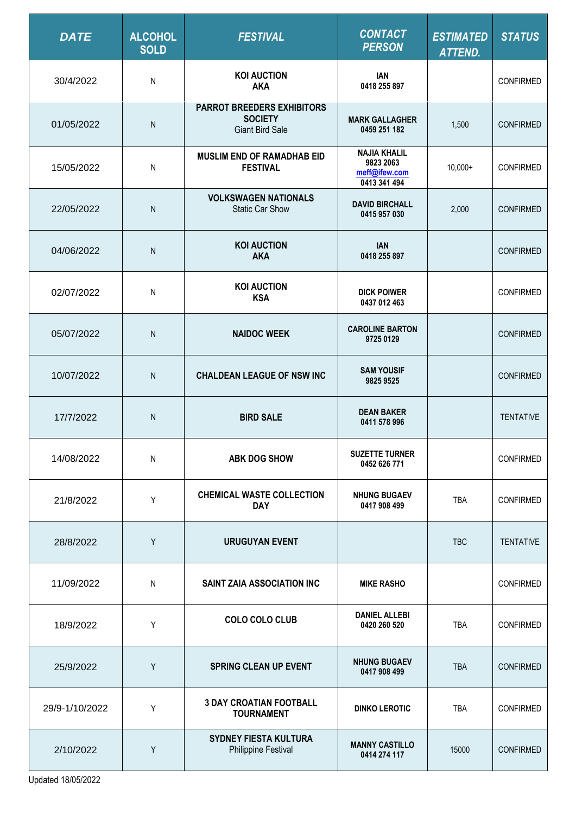| <b>DATE</b>    | <b>ALCOHOL</b><br><b>SOLD</b> | <b>FESTIVAL</b>                                                               | <b>CONTACT</b><br><b>PERSON</b>                                   | <b>ESTIMATED</b><br><b>ATTEND.</b> | <b>STATUS</b>    |
|----------------|-------------------------------|-------------------------------------------------------------------------------|-------------------------------------------------------------------|------------------------------------|------------------|
| 30/4/2022      | N                             | <b>KOI AUCTION</b><br><b>AKA</b>                                              | <b>IAN</b><br>0418 255 897                                        |                                    | <b>CONFIRMED</b> |
| 01/05/2022     | $\mathsf{N}$                  | <b>PARROT BREEDERS EXHIBITORS</b><br><b>SOCIETY</b><br><b>Giant Bird Sale</b> | <b>MARK GALLAGHER</b><br>0459 251 182                             | 1,500                              | <b>CONFIRMED</b> |
| 15/05/2022     | N                             | <b>MUSLIM END OF RAMADHAB EID</b><br><b>FESTIVAL</b>                          | <b>NAJIA KHALIL</b><br>9823 2063<br>meff@ifew.com<br>0413 341 494 | $10,000+$                          | <b>CONFIRMED</b> |
| 22/05/2022     | N                             | <b>VOLKSWAGEN NATIONALS</b><br><b>Static Car Show</b>                         | <b>DAVID BIRCHALL</b><br>0415 957 030                             | 2,000                              | <b>CONFIRMED</b> |
| 04/06/2022     | N                             | <b>KOI AUCTION</b><br><b>AKA</b>                                              | <b>IAN</b><br>0418 255 897                                        |                                    | <b>CONFIRMED</b> |
| 02/07/2022     | N                             | <b>KOI AUCTION</b><br><b>KSA</b>                                              | <b>DICK POIWER</b><br>0437 012 463                                |                                    | <b>CONFIRMED</b> |
| 05/07/2022     | N                             | <b>NAIDOC WEEK</b>                                                            | <b>CAROLINE BARTON</b><br>9725 0129                               |                                    | <b>CONFIRMED</b> |
| 10/07/2022     | ${\sf N}$                     | <b>CHALDEAN LEAGUE OF NSW INC</b>                                             | <b>SAM YOUSIF</b><br>9825 9525                                    |                                    | <b>CONFIRMED</b> |
| 17/7/2022      | N                             | <b>BIRD SALE</b>                                                              | <b>DEAN BAKER</b><br>0411 578 996                                 |                                    | <b>TENTATIVE</b> |
| 14/08/2022     | N                             | <b>ABK DOG SHOW</b>                                                           | <b>SUZETTE TURNER</b><br>0452 626 771                             |                                    | <b>CONFIRMED</b> |
| 21/8/2022      | Y                             | <b>CHEMICAL WASTE COLLECTION</b><br><b>DAY</b>                                | <b>NHUNG BUGAEV</b><br>0417 908 499                               | <b>TBA</b>                         | <b>CONFIRMED</b> |
| 28/8/2022      | Y                             | <b>URUGUYAN EVENT</b>                                                         |                                                                   | <b>TBC</b>                         | <b>TENTATIVE</b> |
| 11/09/2022     | ${\sf N}$                     | SAINT ZAIA ASSOCIATION INC                                                    | <b>MIKE RASHO</b>                                                 |                                    | <b>CONFIRMED</b> |
| 18/9/2022      | Y                             | <b>COLO COLO CLUB</b>                                                         | <b>DANIEL ALLEBI</b><br>0420 260 520                              | TBA                                | <b>CONFIRMED</b> |
| 25/9/2022      | Y                             | <b>SPRING CLEAN UP EVENT</b>                                                  | <b>NHUNG BUGAEV</b><br>0417 908 499                               | <b>TBA</b>                         | <b>CONFIRMED</b> |
| 29/9-1/10/2022 | Υ                             | <b>3 DAY CROATIAN FOOTBALL</b><br><b>TOURNAMENT</b>                           | <b>DINKO LEROTIC</b>                                              | <b>TBA</b>                         | <b>CONFIRMED</b> |
| 2/10/2022      | Y                             | <b>SYDNEY FIESTA KULTURA</b><br>Philippine Festival                           | <b>MANNY CASTILLO</b><br>0414 274 117                             | 15000                              | <b>CONFIRMED</b> |